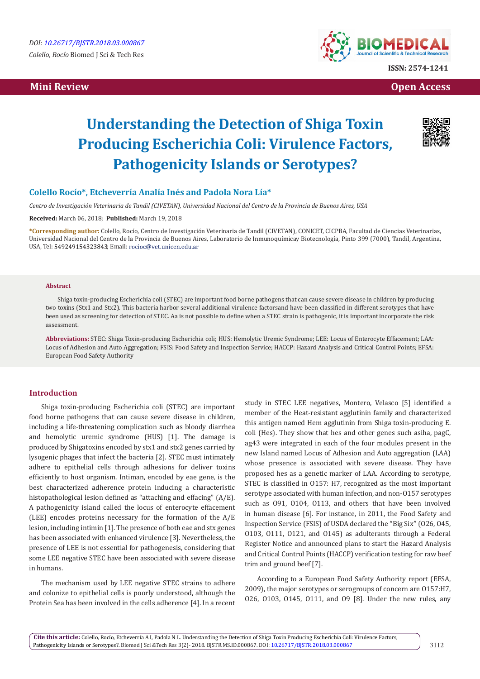# **Mini Review Open Access**



# **Understanding the Detection of Shiga Toxin Producing Escherichia Coli: Virulence Factors, Pathogenicity Islands or Serotypes?**



## **Colello Rocío\*, Etcheverría Analía Inés and Padola Nora Lía\***

*Centro de Investigación Veterinaria de Tandil (CIVETAN), Universidad Nacional del Centro de la Provincia de Buenos Aires, USA*

#### **Received:** March 06, 2018; **Published:** March 19, 2018

**\*Corresponding author:** Colello, Rocío, Centro de Investigación Veterinaria de Tandil (CIVETAN), CONICET, CICPBA, Facultad de Ciencias Veterinarias, Universidad Nacional del Centro de la Provincia de Buenos Aires, Laboratorio de Inmunoquímicay Biotecnología, Pinto 399 (7000), Tandil, Argentina, USA, Tel: 549249154323843; Email: rocioc@vet.unicen.edu.ar

#### **Abstract**

Shiga toxin-producing Escherichia coli (STEC) are important food borne pathogens that can cause severe disease in children by producing two toxins (Stx1 and Stx2). This bacteria harbor several additional virulence factorsand have been classified in different serotypes that have been used as screening for detection of STEC. Aa is not possible to define when a STEC strain is pathogenic, it is important incorporate the risk assessment.

**Abbreviations:** STEC: Shiga Toxin-producing Escherichia coli; HUS: Hemolytic Uremic Syndrome; LEE: Locus of Enterocyte Effacement; LAA: Locus of Adhesion and Auto Aggregation; FSIS: Food Safety and Inspection Service; HACCP: Hazard Analysis and Critical Control Points; EFSA: European Food Safety Authority

#### **Introduction**

Shiga toxin-producing Escherichia coli (STEC) are important food borne pathogens that can cause severe disease in children, including a life-threatening complication such as bloody diarrhea and hemolytic uremic syndrome (HUS) [1]. The damage is produced by Shigatoxins encoded by stx1 and stx2 genes carried by lysogenic phages that infect the bacteria [2]. STEC must intimately adhere to epithelial cells through adhesions for deliver toxins efficiently to host organism. Intiman, encoded by eae gene, is the best characterized adherence protein inducing a characteristic histopathological lesion defined as "attaching and effacing" (A/E). A pathogenicity island called the locus of enterocyte effacement (LEE) encodes proteins necessary for the formation of the A/E lesion, including intimin [1]. The presence of both eae and stx genes has been associated with enhanced virulence [3]. Nevertheless, the presence of LEE is not essential for pathogenesis, considering that some LEE negative STEC have been associated with severe disease in humans.

The mechanism used by LEE negative STEC strains to adhere and colonize to epithelial cells is poorly understood, although the Protein Sea has been involved in the cells adherence [4]. In a recent study in STEC LEE negatives, Montero, Velasco [5] identified a member of the Heat-resistant agglutinin family and characterized this antigen named Hem agglutinin from Shiga toxin-producing E. coli (Hes). They show that hes and other genes such asiha, pagC, ag43 were integrated in each of the four modules present in the new Island named Locus of Adhesion and Auto aggregation (LAA) whose presence is associated with severe disease. They have proposed hes as a genetic marker of LAA. According to serotype, STEC is classified in O157: H7, recognized as the most important serotype associated with human infection, and non-O157 serotypes such as O91, O104, O113, and others that have been involved in human disease [6]. For instance, in 2011, the Food Safety and Inspection Service (FSIS) of USDA declared the ''Big Six'' (O26, O45, O103, O111, O121, and O145) as adulterants through a Federal Register Notice and announced plans to start the Hazard Analysis and Critical Control Points (HACCP) verification testing for raw beef trim and ground beef [7].

According to a European Food Safety Authority report (EFSA, 2009), the major serotypes or serogroups of concern are O157:H7, O26, O103, O145, O111, and O9 [8]. Under the new rules, any